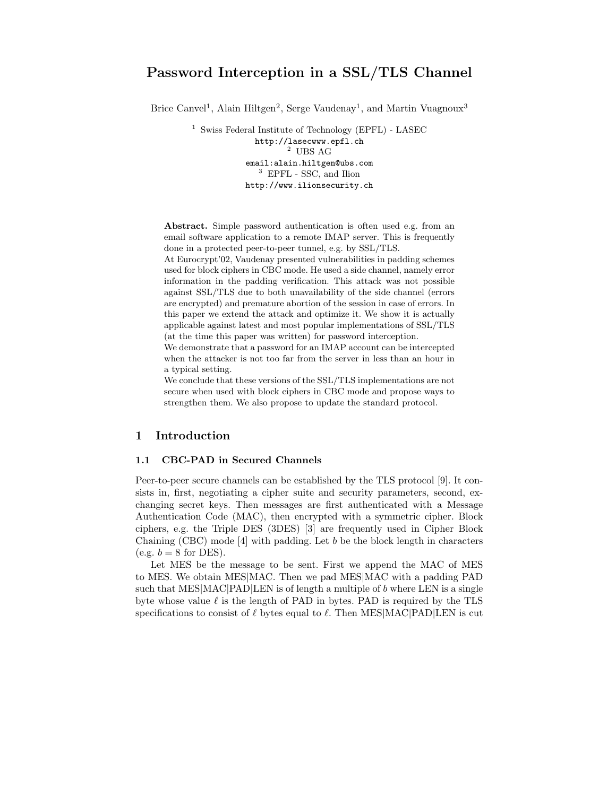# Password Interception in a SSL/TLS Channel

Brice Canvel<sup>1</sup>, Alain Hiltgen<sup>2</sup>, Serge Vaudenay<sup>1</sup>, and Martin Vuagnoux<sup>3</sup>

 $1$  Swiss Federal Institute of Technology (EPFL) - LASEC http://lasecwww.epfl.ch  $^{\rm 2}$  UBS AG email:alain.hiltgen@ubs.com  $^3\,$  EPFL - SSC, and Ilion http://www.ilionsecurity.ch

Abstract. Simple password authentication is often used e.g. from an email software application to a remote IMAP server. This is frequently done in a protected peer-to-peer tunnel, e.g. by SSL/TLS.

At Eurocrypt'02, Vaudenay presented vulnerabilities in padding schemes used for block ciphers in CBC mode. He used a side channel, namely error information in the padding verification. This attack was not possible against SSL/TLS due to both unavailability of the side channel (errors are encrypted) and premature abortion of the session in case of errors. In this paper we extend the attack and optimize it. We show it is actually applicable against latest and most popular implementations of SSL/TLS (at the time this paper was written) for password interception.

We demonstrate that a password for an IMAP account can be intercepted when the attacker is not too far from the server in less than an hour in a typical setting.

We conclude that these versions of the SSL/TLS implementations are not secure when used with block ciphers in CBC mode and propose ways to strengthen them. We also propose to update the standard protocol.

## 1 Introduction

### 1.1 CBC-PAD in Secured Channels

Peer-to-peer secure channels can be established by the TLS protocol [9]. It consists in, first, negotiating a cipher suite and security parameters, second, exchanging secret keys. Then messages are first authenticated with a Message Authentication Code (MAC), then encrypted with a symmetric cipher. Block ciphers, e.g. the Triple DES (3DES) [3] are frequently used in Cipher Block Chaining (CBC) mode [4] with padding. Let b be the block length in characters (e.g.  $b = 8$  for DES).

Let MES be the message to be sent. First we append the MAC of MES to MES. We obtain MES|MAC. Then we pad MES|MAC with a padding PAD such that MES $[MAC]$ PAD $[LEN]$  is of length a multiple of b where LEN is a single byte whose value  $\ell$  is the length of PAD in bytes. PAD is required by the TLS specifications to consist of  $\ell$  bytes equal to  $\ell$ . Then MES|MAC|PAD|LEN is cut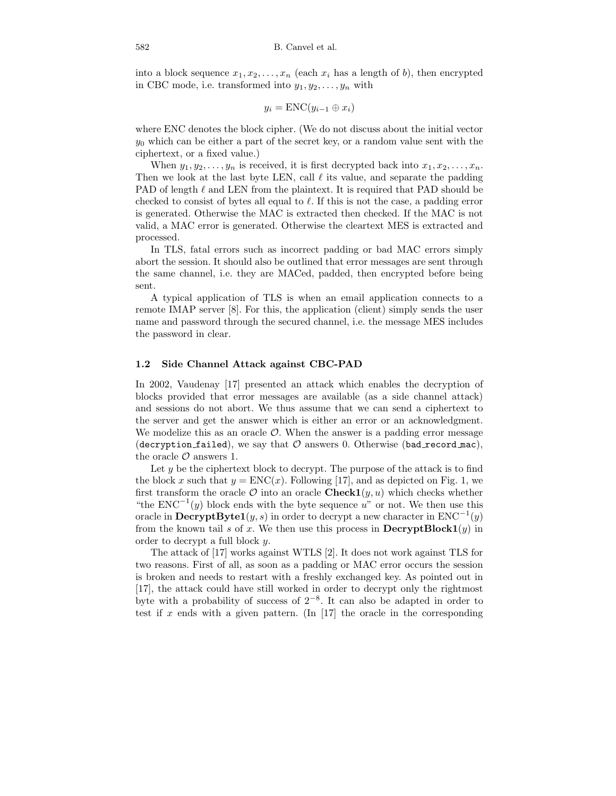into a block sequence  $x_1, x_2, \ldots, x_n$  (each  $x_i$  has a length of b), then encrypted in CBC mode, i.e. transformed into  $y_1, y_2, \ldots, y_n$  with

$$
y_i = \text{ENC}(y_{i-1} \oplus x_i)
$$

where ENC denotes the block cipher. (We do not discuss about the initial vector  $y_0$  which can be either a part of the secret key, or a random value sent with the ciphertext, or a fixed value.)

When  $y_1, y_2, \ldots, y_n$  is received, it is first decrypted back into  $x_1, x_2, \ldots, x_n$ . Then we look at the last byte LEN, call  $\ell$  its value, and separate the padding PAD of length  $\ell$  and LEN from the plaintext. It is required that PAD should be checked to consist of bytes all equal to  $\ell$ . If this is not the case, a padding error is generated. Otherwise the MAC is extracted then checked. If the MAC is not valid, a MAC error is generated. Otherwise the cleartext MES is extracted and processed.

In TLS, fatal errors such as incorrect padding or bad MAC errors simply abort the session. It should also be outlined that error messages are sent through the same channel, i.e. they are MACed, padded, then encrypted before being sent.

A typical application of TLS is when an email application connects to a remote IMAP server [8]. For this, the application (client) simply sends the user name and password through the secured channel, i.e. the message MES includes the password in clear.

### 1.2 Side Channel Attack against CBC-PAD

In 2002, Vaudenay [17] presented an attack which enables the decryption of blocks provided that error messages are available (as a side channel attack) and sessions do not abort. We thus assume that we can send a ciphertext to the server and get the answer which is either an error or an acknowledgment. We modelize this as an oracle  $\mathcal{O}$ . When the answer is a padding error message (decryption failed), we say that  $\mathcal O$  answers 0. Otherwise (bad record mac), the oracle  $\mathcal O$  answers 1.

Let  $y$  be the ciphertext block to decrypt. The purpose of the attack is to find the block x such that  $y = \text{ENC}(x)$ . Following [17], and as depicted on Fig. 1, we first transform the oracle  $\mathcal O$  into an oracle **Check1** $(y, u)$  which checks whether "the  $ENC^{-1}(y)$  block ends with the byte sequence u" or not. We then use this oracle in  $\text{DecryptByte1}(y, s)$  in order to decrypt a new character in  $\text{ENC}^{-1}(y)$ from the known tail s of x. We then use this process in  $\text{DecryptBlock1}(y)$  in order to decrypt a full block y.

The attack of [17] works against WTLS [2]. It does not work against TLS for two reasons. First of all, as soon as a padding or MAC error occurs the session is broken and needs to restart with a freshly exchanged key. As pointed out in [17], the attack could have still worked in order to decrypt only the rightmost byte with a probability of success of  $2^{-8}$ . It can also be adapted in order to test if x ends with a given pattern. (In [17] the oracle in the corresponding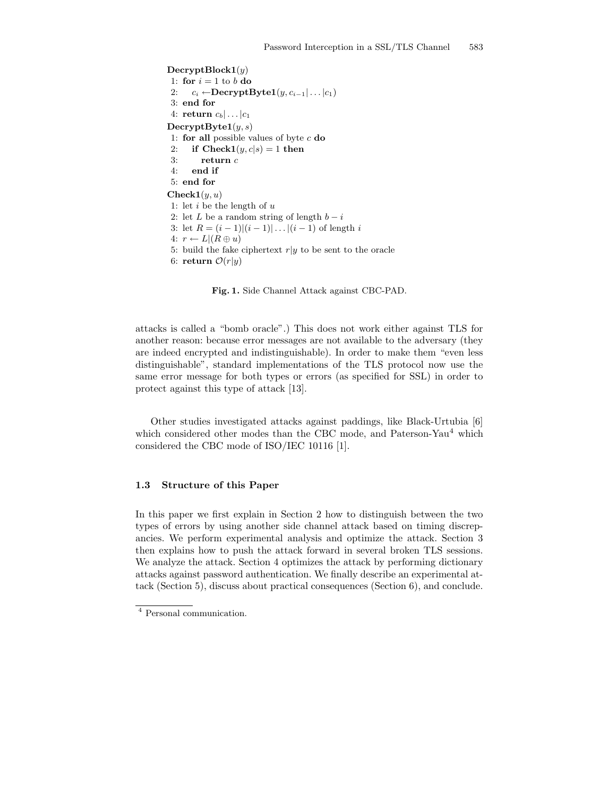$\text{DecryptBlock1}(y)$ 1: for  $i = 1$  to b do 2:  $c_i \leftarrow \text{DecryptByte1}(y, c_{i-1} | \dots | c_1)$ 3: end for 4: return  $c_b | \dots | c_1$  $\text{DecryptByte1}(y, s)$ 1: for all possible values of byte  $c$  do 2: if  $\text{Check1}(y, c | s) = 1$  then 3: return  $c$ 4: end if 5: end for  $\mathbf{Check1}(y, u)$ 1: let  $i$  be the length of  $u$ 2: let L be a random string of length  $b - i$ 3: let  $R = (i - 1)|(i - 1)| \dots | (i - 1)$  of length i 4:  $r \leftarrow L | (R \oplus u)$ 5: build the fake ciphertext  $r|y$  to be sent to the oracle 6: return  $\mathcal{O}(r|y)$ 

Fig. 1. Side Channel Attack against CBC-PAD.

attacks is called a "bomb oracle".) This does not work either against TLS for another reason: because error messages are not available to the adversary (they are indeed encrypted and indistinguishable). In order to make them "even less distinguishable", standard implementations of the TLS protocol now use the same error message for both types or errors (as specified for SSL) in order to protect against this type of attack [13].

Other studies investigated attacks against paddings, like Black-Urtubia [6] which considered other modes than the CBC mode, and Paterson-Yau<sup>4</sup> which considered the CBC mode of ISO/IEC 10116 [1].

### 1.3 Structure of this Paper

In this paper we first explain in Section 2 how to distinguish between the two types of errors by using another side channel attack based on timing discrepancies. We perform experimental analysis and optimize the attack. Section 3 then explains how to push the attack forward in several broken TLS sessions. We analyze the attack. Section 4 optimizes the attack by performing dictionary attacks against password authentication. We finally describe an experimental attack (Section 5), discuss about practical consequences (Section 6), and conclude.

<sup>4</sup> Personal communication.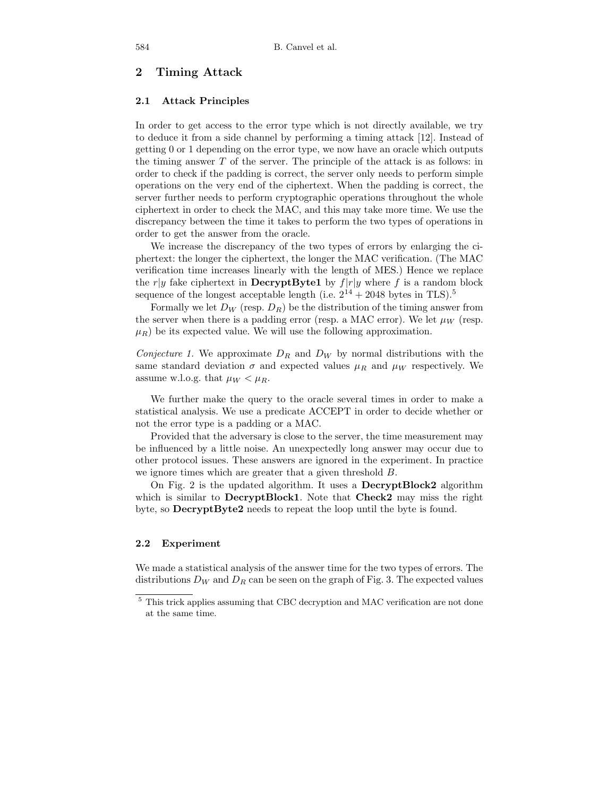# 2 Timing Attack

### 2.1 Attack Principles

In order to get access to the error type which is not directly available, we try to deduce it from a side channel by performing a timing attack [12]. Instead of getting 0 or 1 depending on the error type, we now have an oracle which outputs the timing answer T of the server. The principle of the attack is as follows: in order to check if the padding is correct, the server only needs to perform simple operations on the very end of the ciphertext. When the padding is correct, the server further needs to perform cryptographic operations throughout the whole ciphertext in order to check the MAC, and this may take more time. We use the discrepancy between the time it takes to perform the two types of operations in order to get the answer from the oracle.

We increase the discrepancy of the two types of errors by enlarging the ciphertext: the longer the ciphertext, the longer the MAC verification. (The MAC verification time increases linearly with the length of MES.) Hence we replace the r|y fake ciphertext in **DecryptByte1** by  $f|r|y$  where f is a random block sequence of the longest acceptable length (i.e.  $2^{14} + 2048$  bytes in TLS).<sup>5</sup>

Formally we let  $D_W$  (resp.  $D_R$ ) be the distribution of the timing answer from the server when there is a padding error (resp. a MAC error). We let  $\mu_W$  (resp.  $\mu_R$ ) be its expected value. We will use the following approximation.

Conjecture 1. We approximate  $D_R$  and  $D_W$  by normal distributions with the same standard deviation  $\sigma$  and expected values  $\mu_R$  and  $\mu_W$  respectively. We assume w.l.o.g. that  $\mu_W < \mu_R$ .

We further make the query to the oracle several times in order to make a statistical analysis. We use a predicate ACCEPT in order to decide whether or not the error type is a padding or a MAC.

Provided that the adversary is close to the server, the time measurement may be influenced by a little noise. An unexpectedly long answer may occur due to other protocol issues. These answers are ignored in the experiment. In practice we ignore times which are greater that a given threshold B.

On Fig. 2 is the updated algorithm. It uses a DecryptBlock2 algorithm which is similar to **DecryptBlock1**. Note that **Check2** may miss the right byte, so DecryptByte2 needs to repeat the loop until the byte is found.

#### 2.2 Experiment

We made a statistical analysis of the answer time for the two types of errors. The distributions  $D_W$  and  $D_R$  can be seen on the graph of Fig. 3. The expected values

 $^5$  This trick applies assuming that CBC decryption and MAC verification are not done at the same time.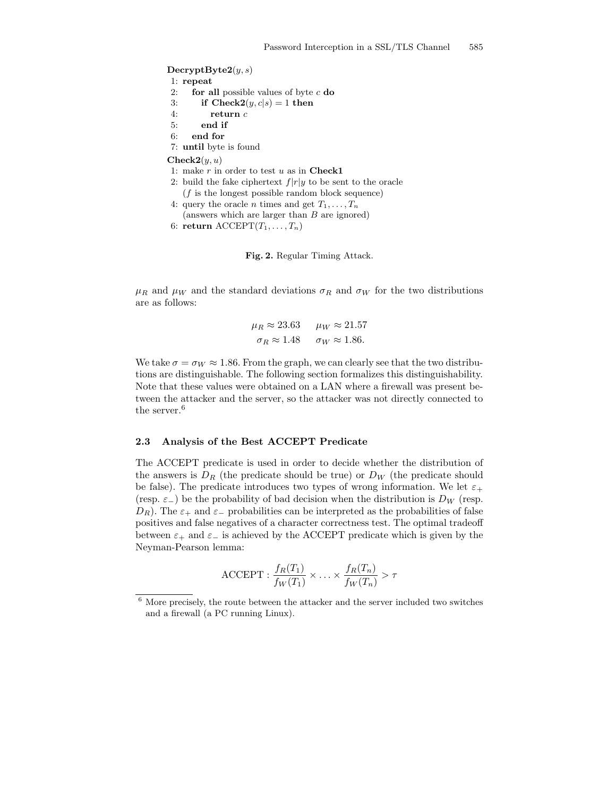$\mathbf{DecryptByte2}(y, s)$ 1: repeat 2: **for all** possible values of byte  $c$  **do** 3: if  $\text{Check2}(y, c | s) = 1$  then 4: return c 5: end if 6: end for 7: until byte is found  $\mathbf{Check2}(y, u)$ 1: make  $r$  in order to test  $u$  as in  ${\bf Check1}$ 2: build the fake ciphertext  $f|r|y$  to be sent to the oracle  $(f$  is the longest possible random block sequence) 4: query the oracle *n* times and get  $T_1, \ldots, T_n$ 

(answers which are larger than B are ignored)

```
6: return \mathrm{ACCEPT}(T_1, \ldots, T_n)
```


 $\mu_R$  and  $\mu_W$  and the standard deviations  $\sigma_R$  and  $\sigma_W$  for the two distributions are as follows:

$$
\mu_R \approx 23.63 \qquad \mu_W \approx 21.57
$$
  

$$
\sigma_R \approx 1.48 \qquad \sigma_W \approx 1.86.
$$

We take  $\sigma = \sigma_W \approx 1.86$ . From the graph, we can clearly see that the two distributions are distinguishable. The following section formalizes this distinguishability. Note that these values were obtained on a LAN where a firewall was present between the attacker and the server, so the attacker was not directly connected to the server.<sup>6</sup>

### 2.3 Analysis of the Best ACCEPT Predicate

The ACCEPT predicate is used in order to decide whether the distribution of the answers is  $D_R$  (the predicate should be true) or  $D_W$  (the predicate should be false). The predicate introduces two types of wrong information. We let  $\varepsilon_+$ (resp.  $\varepsilon_{-}$ ) be the probability of bad decision when the distribution is  $D_W$  (resp.  $D_R$ ). The  $\varepsilon_+$  and  $\varepsilon_-$  probabilities can be interpreted as the probabilities of false positives and false negatives of a character correctness test. The optimal tradeoff between  $\varepsilon_+$  and  $\varepsilon_-$  is achieved by the ACCEPT predicate which is given by the Neyman-Pearson lemma:

$$
\text{ACCEPT}: \frac{f_R(T_1)}{f_W(T_1)} \times \ldots \times \frac{f_R(T_n)}{f_W(T_n)} > \tau
$$

 $^6$  More precisely, the route between the attacker and the server included two switches and a firewall (a PC running Linux).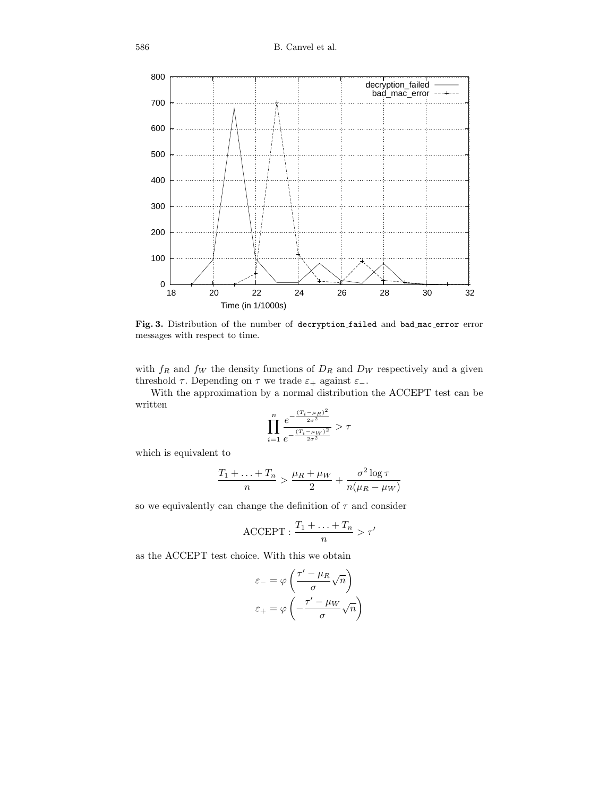

Fig. 3. Distribution of the number of decryption failed and bad mac error error messages with respect to time.

with  $f_R$  and  $f_W$  the density functions of  $D_R$  and  $D_W$  respectively and a given threshold  $\tau$ . Depending on  $\tau$  we trade  $\varepsilon_+$  against  $\varepsilon_-\$ .

With the approximation by a normal distribution the ACCEPT test can be written

$$
\prod_{i=1}^n \frac{e^{-\frac{(T_i-\mu_R)^2}{2\sigma^2}}}{e^{-\frac{(T_i-\mu_W)^2}{2\sigma^2}}} > \tau
$$

which is equivalent to

$$
\frac{T_1 + \ldots + T_n}{n} > \frac{\mu_R + \mu_W}{2} + \frac{\sigma^2 \log \tau}{n(\mu_R - \mu_W)}
$$

so we equivalently can change the definition of  $\tau$  and consider

$$
\text{ACCEPT}: \frac{T_1 + \ldots + T_n}{n} > \tau'
$$

as the ACCEPT test choice. With this we obtain

$$
\varepsilon_{-} = \varphi \left( \frac{\tau' - \mu_R}{\sigma} \sqrt{n} \right)
$$

$$
\varepsilon_{+} = \varphi \left( -\frac{\tau' - \mu_W}{\sigma} \sqrt{n} \right)
$$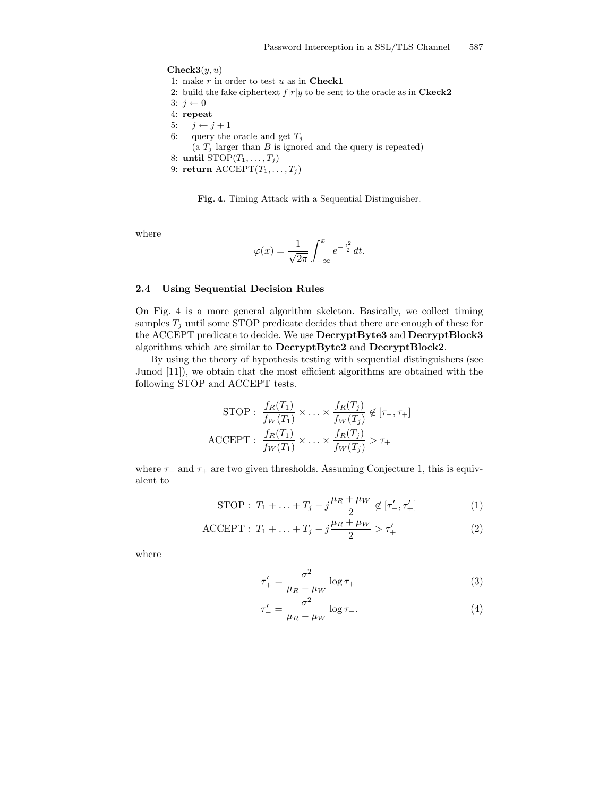$\mathbf{Check3}(y, u)$ 1: make  $r$  in order to test  $u$  as in Check1 2: build the fake ciphertext  $f|r|y$  to be sent to the oracle as in **Ckeck2** 3:  $j \leftarrow 0$ 4: repeat 5:  $j \leftarrow j + 1$ 6: query the oracle and get  $T_j$ (a  $T_j$  larger than  $B$  is ignored and the query is repeated) 8: until  $STOP(T_1, \ldots, T_j)$ 9: return  $\text{ACCEPT}(T_1, \ldots, T_j)$ 

Fig. 4. Timing Attack with a Sequential Distinguisher.

where

$$
\varphi(x) = \frac{1}{\sqrt{2\pi}} \int_{-\infty}^{x} e^{-\frac{t^2}{2}} dt.
$$

# 2.4 Using Sequential Decision Rules

On Fig. 4 is a more general algorithm skeleton. Basically, we collect timing samples  $T_j$  until some STOP predicate decides that there are enough of these for the ACCEPT predicate to decide. We use DecryptByte3 and DecryptBlock3 algorithms which are similar to DecryptByte2 and DecryptBlock2.

By using the theory of hypothesis testing with sequential distinguishers (see Junod [11]), we obtain that the most efficient algorithms are obtained with the following STOP and ACCEPT tests.

$$
\text{STOP}: \frac{f_R(T_1)}{f_W(T_1)} \times \ldots \times \frac{f_R(T_j)}{f_W(T_j)} \notin [\tau_-, \tau_+]
$$

$$
\text{ACCEPT}: \frac{f_R(T_1)}{f_W(T_1)} \times \ldots \times \frac{f_R(T_j)}{f_W(T_j)} > \tau_+
$$

where  $\tau_-\$  and  $\tau_+\$  are two given thresholds. Assuming Conjecture 1, this is equivalent to

STOP: 
$$
T_1 + ... + T_j - j\frac{\mu_R + \mu_W}{2} \notin [\tau'_-, \tau'_+]
$$
 (1)

ACCEPT: 
$$
T_1 + ... + T_j - j \frac{\mu_R + \mu_W}{2} > \tau'_+
$$
 (2)

where

$$
\tau'_{+} = \frac{\sigma^2}{\mu_R - \mu_W} \log \tau_{+}
$$
\n(3)

$$
\tau'_{-} = \frac{\sigma^2}{\mu_R - \mu_W} \log \tau_{-}.\tag{4}
$$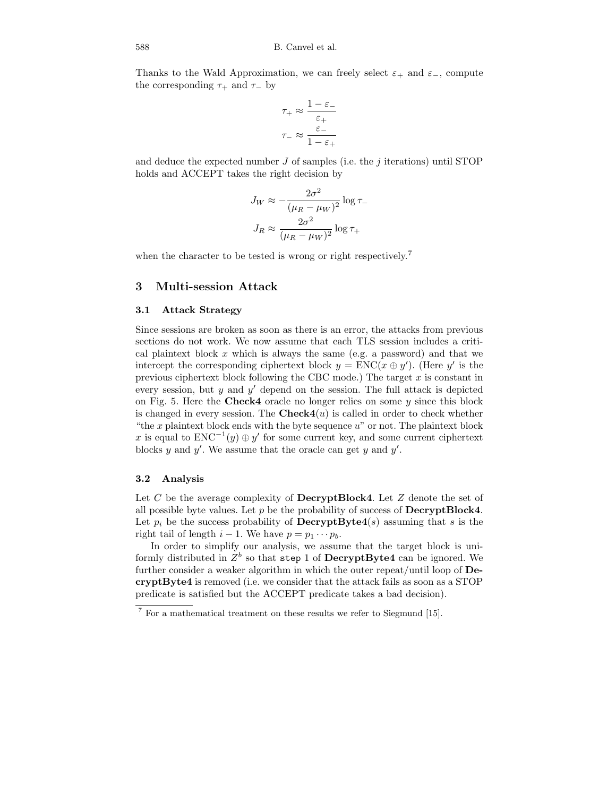Thanks to the Wald Approximation, we can freely select  $\varepsilon_+$  and  $\varepsilon_-$ , compute the corresponding  $\tau_+$  and  $\tau_-$  by

$$
\tau_+ \approx \frac{1 - \varepsilon_-}{\varepsilon_+}
$$

$$
\tau_- \approx \frac{\varepsilon_-}{1 - \varepsilon_+}
$$

and deduce the expected number  $J$  of samples (i.e. the  $j$  iterations) until STOP holds and ACCEPT takes the right decision by

$$
J_W \approx -\frac{2\sigma^2}{(\mu_R - \mu_W)^2} \log \tau_-
$$

$$
J_R \approx \frac{2\sigma^2}{(\mu_R - \mu_W)^2} \log \tau_+
$$

when the character to be tested is wrong or right respectively.<sup>7</sup>

### 3 Multi-session Attack

### 3.1 Attack Strategy

Since sessions are broken as soon as there is an error, the attacks from previous sections do not work. We now assume that each TLS session includes a critical plaintext block  $x$  which is always the same (e.g. a password) and that we intercept the corresponding ciphertext block  $y = \text{ENC}(x \oplus y')$ . (Here y' is the previous ciphertext block following the CBC mode.) The target  $x$  is constant in every session, but  $y$  and  $y'$  depend on the session. The full attack is depicted on Fig. 5. Here the Check4 oracle no longer relies on some  $y$  since this block is changed in every session. The  $\mathbf{Check4}(u)$  is called in order to check whether "the  $x$  plaintext block ends with the byte sequence  $u$ " or not. The plaintext block x is equal to  $ENC^{-1}(y) \oplus y'$  for some current key, and some current ciphertext blocks y and y'. We assume that the oracle can get y and  $y'$ .

### 3.2 Analysis

Let C be the average complexity of **DecryptBlock4**. Let  $Z$  denote the set of all possible byte values. Let  $p$  be the probability of success of **DecryptBlock4**. Let  $p_i$  be the success probability of **DecryptByte4**(s) assuming that s is the right tail of length  $i - 1$ . We have  $p = p_1 \cdots p_b$ .

In order to simplify our analysis, we assume that the target block is uniformly distributed in  $Z^b$  so that step 1 of DecryptByte4 can be ignored. We further consider a weaker algorithm in which the outer repeat/until loop of DecryptByte4 is removed (i.e. we consider that the attack fails as soon as a STOP predicate is satisfied but the ACCEPT predicate takes a bad decision).

<sup>7</sup> For a mathematical treatment on these results we refer to Siegmund [15].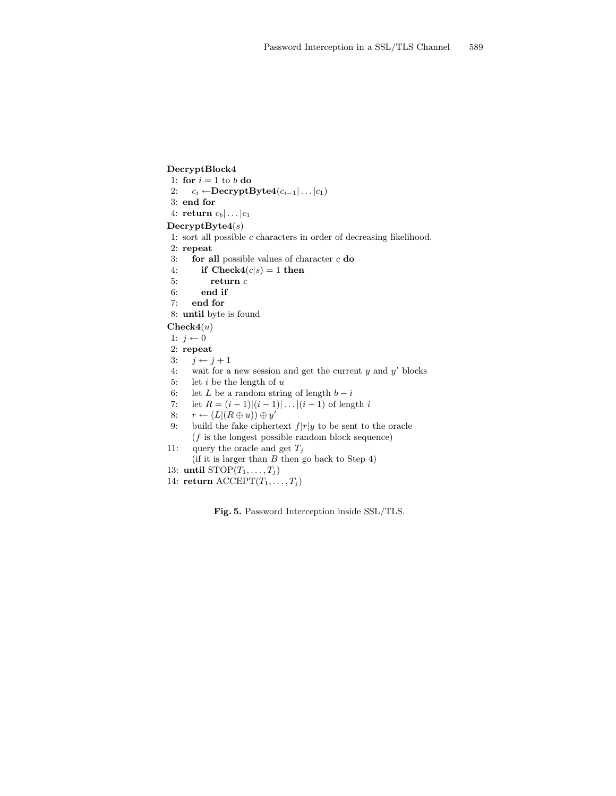DecryptBlock4 1: for  $i = 1$  to b do 2:  $c_i \leftarrow \text{DecryptByte4}(c_{i-1}|\ldots|c_1)$ 3: end for 4: return  $c_b | \dots | c_1$  $\text{DecryptByte4}(s)$ 1: sort all possible  $c$  characters in order of decreasing likelihood. 2: repeat 3: **for all** possible values of character  $c$  **do** 4: if  $\text{Check4}(c|s) = 1$  then 5: return c 6: end if 7: end for 8: until byte is found

 $Check4(u)$ 

- 1:  $j \leftarrow 0$
- 2: repeat
- 3:  $j \leftarrow j + 1$
- 4: wait for a new session and get the current  $y$  and  $y'$  blocks
- 5: let  $i$  be the length of  $u$
- 6: let L be a random string of length  $b i$
- 7: let  $R = (i 1)(i 1) \dots | (i 1)$  of length i
- 8:  $r \leftarrow (L|(R \oplus u)) \oplus y'$
- 9: build the fake ciphertext  $f|r|y$  to be sent to the oracle  $(f$  is the longest possible random block sequence)
- 11: query the oracle and get  $T_j$
- (if it is larger than  $B$  then go back to Step 4)
- 13: until  $STOP(T_1, \ldots, T_j)$
- 14: return  $\text{ACCEPT}(T_1, \ldots, T_j)$

Fig. 5. Password Interception inside SSL/TLS.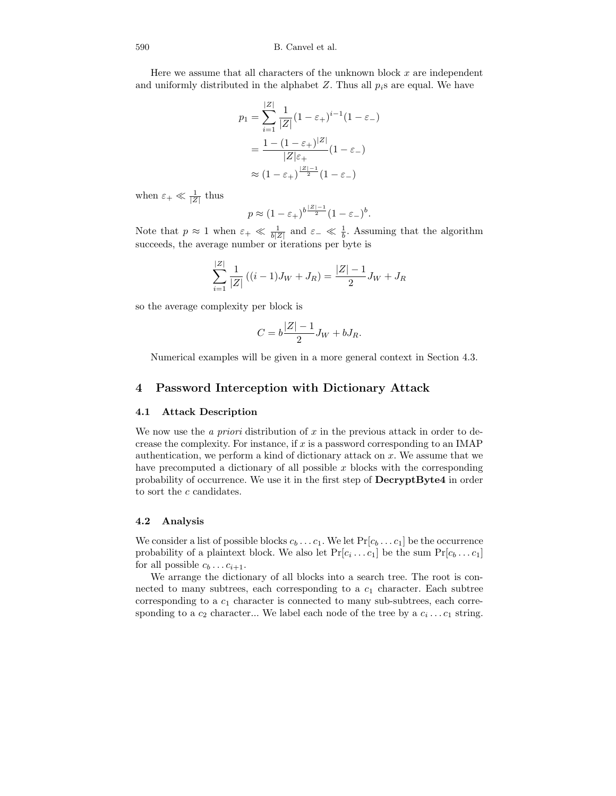Here we assume that all characters of the unknown block  $x$  are independent and uniformly distributed in the alphabet  $Z$ . Thus all  $p_i$ s are equal. We have

$$
p_1 = \sum_{i=1}^{|Z|} \frac{1}{|Z|} (1 - \varepsilon_+)^{i-1} (1 - \varepsilon_-)
$$

$$
= \frac{1 - (1 - \varepsilon_+)^{|Z|}}{|Z|\varepsilon_+} (1 - \varepsilon_-)
$$

$$
\approx (1 - \varepsilon_+)^{\frac{|Z| - 1}{2}} (1 - \varepsilon_-)
$$

when  $\varepsilon_+ \ll \frac{1}{|Z|}$  thus

$$
p \approx (1 - \varepsilon_+)^{b\frac{|Z|-1}{2}} (1 - \varepsilon_-)^b.
$$

Note that  $p \approx 1$  when  $\varepsilon_+ \ll \frac{1}{b|Z|}$  and  $\varepsilon_- \ll \frac{1}{b}$ . Assuming that the algorithm succeeds, the average number or iterations per byte is

$$
\sum_{i=1}^{|Z|} \frac{1}{|Z|} ((i-1)J_W + J_R) = \frac{|Z|-1}{2}J_W + J_R
$$

so the average complexity per block is

$$
C = b\frac{|Z| - 1}{2}J_W + bJ_R.
$$

Numerical examples will be given in a more general context in Section 4.3.

# 4 Password Interception with Dictionary Attack

### 4.1 Attack Description

We now use the *a priori* distribution of  $x$  in the previous attack in order to decrease the complexity. For instance, if  $x$  is a password corresponding to an IMAP authentication, we perform a kind of dictionary attack on  $x$ . We assume that we have precomputed a dictionary of all possible  $x$  blocks with the corresponding probability of occurrence. We use it in the first step of DecryptByte4 in order to sort the  $c$  candidates.

#### 4.2 Analysis

We consider a list of possible blocks  $c_b \dots c_1$ . We let  $Pr[c_b \dots c_1]$  be the occurrence probability of a plaintext block. We also let  $Pr[c_i \dots c_1]$  be the sum  $Pr[c_b \dots c_1]$ for all possible  $c_b \ldots c_{i+1}$ .

We arrange the dictionary of all blocks into a search tree. The root is connected to many subtrees, each corresponding to a  $c_1$  character. Each subtree corresponding to a  $c_1$  character is connected to many sub-subtrees, each corresponding to a  $c_2$  character... We label each node of the tree by a  $c_i \dots c_1$  string.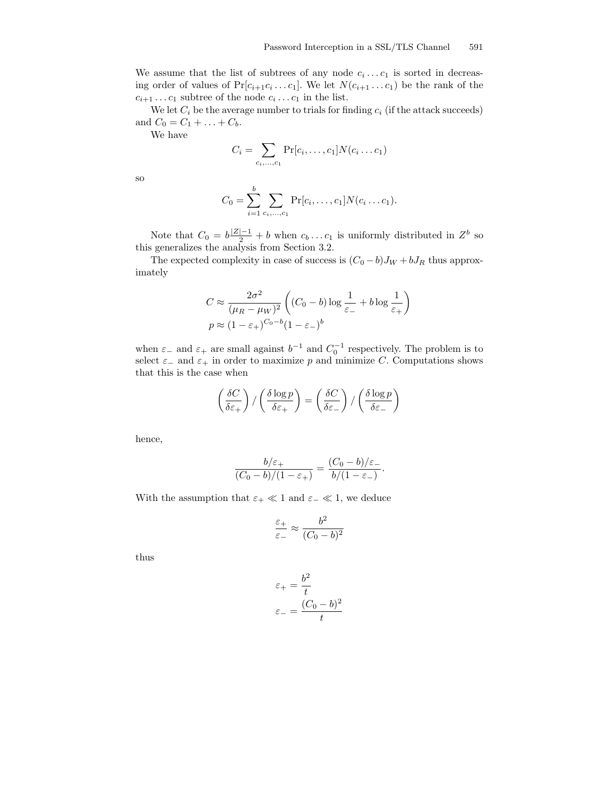We assume that the list of subtrees of any node  $c_i \dots c_1$  is sorted in decreasing order of values of  $Pr[c_{i+1}c_i...c_1]$ . We let  $N(c_{i+1}...c_1)$  be the rank of the  $c_{i+1} \ldots c_1$  subtree of the node  $c_i \ldots c_1$  in the list.

We let  $C_i$  be the average number to trials for finding  $c_i$  (if the attack succeeds) and  $C_0 = C_1 + ... + C_b$ .

We have

$$
C_i = \sum_{c_i, ..., c_1} \Pr[c_i, ..., c_1] N(c_i ... c_1)
$$

so

$$
C_0 = \sum_{i=1}^{b} \sum_{c_i, ..., c_1} \Pr[c_i, ..., c_1] N(c_i ... c_1).
$$

Note that  $C_0 = b \frac{|Z|-1}{2} + b$  when  $c_b \dots c_1$  is uniformly distributed in  $Z^b$  so this generalizes the analysis from Section 3.2.

The expected complexity in case of success is  $(C_0 - b)J_W + bJ_R$  thus approximately

$$
C \approx \frac{2\sigma^2}{(\mu_R - \mu_W)^2} \left( (C_0 - b) \log \frac{1}{\varepsilon_-} + b \log \frac{1}{\varepsilon_+} \right)
$$
  

$$
p \approx (1 - \varepsilon_+)^{C_0 - b} (1 - \varepsilon_-)^b
$$

when  $\varepsilon_{-}$  and  $\varepsilon_{+}$  are small against  $b^{-1}$  and  $C_0^{-1}$  respectively. The problem is to select  $\varepsilon_-\,$  and  $\varepsilon_+\,$  in order to maximize p and minimize C. Computations shows that this is the case when

$$
\left(\frac{\delta C}{\delta \varepsilon_+}\right) / \left(\frac{\delta \log p}{\delta \varepsilon_+}\right) = \left(\frac{\delta C}{\delta \varepsilon_-}\right) / \left(\frac{\delta \log p}{\delta \varepsilon_-}\right)
$$

hence,

$$
\frac{b/\varepsilon_+}{(C_0-b)/(1-\varepsilon_+)} = \frac{(C_0-b)/\varepsilon_-}{b/(1-\varepsilon_-)}.
$$

With the assumption that  $\varepsilon_+ \ll 1$  and  $\varepsilon_- \ll 1$ , we deduce

$$
\frac{\varepsilon_+}{\varepsilon_-} \approx \frac{b^2}{(C_0 - b)^2}
$$

thus

$$
\varepsilon_{+} = \frac{b^2}{t}
$$

$$
\varepsilon_{-} = \frac{(C_0 - b)^2}{t}
$$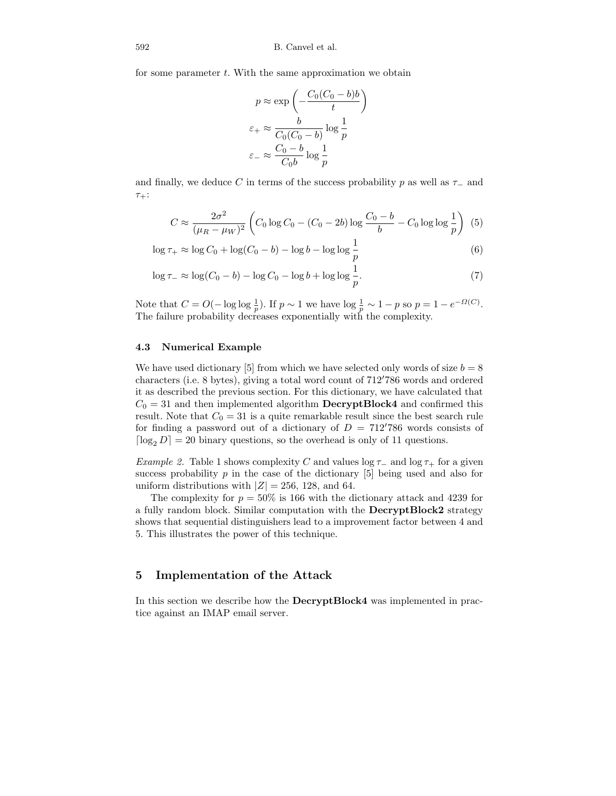for some parameter  $t$ . With the same approximation we obtain

$$
p \approx \exp\left(-\frac{C_0(C_0 - b)b}{t}\right)
$$

$$
\varepsilon_+ \approx \frac{b}{C_0(C_0 - b)} \log \frac{1}{p}
$$

$$
\varepsilon_- \approx \frac{C_0 - b}{C_0 b} \log \frac{1}{p}
$$

and finally, we deduce C in terms of the success probability p as well as  $\tau_-\$  and  $\tau_+$ :

$$
C \approx \frac{2\sigma^2}{(\mu_R - \mu_W)^2} \left( C_0 \log C_0 - (C_0 - 2b) \log \frac{C_0 - b}{b} - C_0 \log \log \frac{1}{p} \right) (5)
$$

$$
\log \tau_+ \approx \log C_0 + \log(C_0 - b) - \log b - \log \log \frac{1}{p} \tag{6}
$$

$$
\log \tau_{-} \approx \log(C_0 - b) - \log C_0 - \log b + \log \log \frac{1}{p}.\tag{7}
$$

Note that  $C = O(-\log \log \frac{1}{p})$ . If  $p \sim 1$  we have  $\log \frac{1}{p} \sim 1 - p$  so  $p = 1 - e^{-\Omega(C)}$ . The failure probability decreases exponentially with the complexity.

### 4.3 Numerical Example

We have used dictionary [5] from which we have selected only words of size  $b = 8$ characters (i.e. 8 bytes), giving a total word count of  $712'786$  words and ordered it as described the previous section. For this dictionary, we have calculated that  $C_0 = 31$  and then implemented algorithm **DecryptBlock4** and confirmed this result. Note that  $C_0 = 31$  is a quite remarkable result since the best search rule for finding a password out of a dictionary of  $D = 712'786$  words consists of  $\lceil \log_2 D \rceil = 20$  binary questions, so the overhead is only of 11 questions.

Example 2. Table 1 shows complexity C and values log  $\tau_-\,$  and log  $\tau_+$  for a given success probability  $p$  in the case of the dictionary [5] being used and also for uniform distributions with  $|Z| = 256$ , 128, and 64.

The complexity for  $p = 50\%$  is 166 with the dictionary attack and 4239 for a fully random block. Similar computation with the DecryptBlock2 strategy shows that sequential distinguishers lead to a improvement factor between 4 and 5. This illustrates the power of this technique.

# 5 Implementation of the Attack

In this section we describe how the DecryptBlock4 was implemented in practice against an IMAP email server.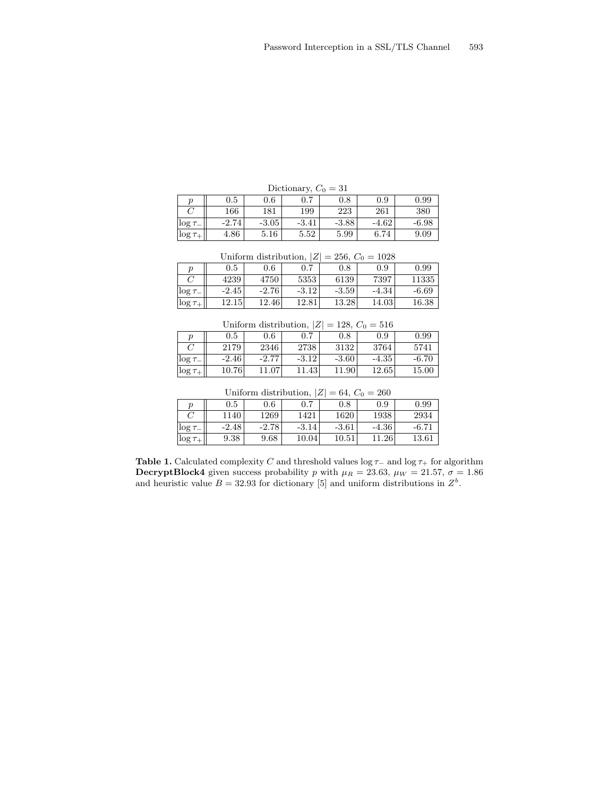| Dictionary, $C_0 = 31$ |           |         |         |          |         |         |
|------------------------|-----------|---------|---------|----------|---------|---------|
| ŋ                      | $\rm 0.5$ | $0.6\,$ |         | $^{0.8}$ | 0.9     | 0.99    |
|                        | 166       | 181     | 199     | 223      | 261     | 380     |
| $\log \tau_{-}$        | $-2.74$   | $-3.05$ | $-3.41$ | $-3.88$  | $-4.62$ | $-6.98$ |
| $\log \tau_+$          | 4.86      | 5.16    | 5.52    | 5.99     | 6.74    | 9.09    |

| Uniform distribution, $ Z  = 256$ , $C_0 = 1028$ |         |         |         |         |         |         |
|--------------------------------------------------|---------|---------|---------|---------|---------|---------|
|                                                  | $0.5\,$ | 0.6     | $0.7\,$ | 0.8     | 0.9     | 0.99    |
|                                                  | 4239    | 4750    | 5353    | 6139    | 7397    | 11335   |
| $\log \tau$                                      | $-2.45$ | $-2.76$ | $-3.12$ | $-3.59$ | $-4.34$ | $-6.69$ |
| $\log \tau_+$                                    | 12.15   | 12.46   | 12.81   | 13.28   | 14.03   | 16.38   |

| Uniform distribution, $ Z  = 128$ , $C_0 = 516$ |         |         |         |         |         |         |
|-------------------------------------------------|---------|---------|---------|---------|---------|---------|
|                                                 | 0.5     | 0.6     | 0.7     | 0.8     | 0.9     | 0.99    |
|                                                 | 2179    | 2346    | 2738    | 3132    | 3764    | 5741    |
| $\log \tau$                                     | $-2.46$ | $-2.77$ | $-3.12$ | $-3.60$ | $-4.35$ | $-6.70$ |
| $\log \tau_+$                                   | 10.76   | 11.07   | 11.43   | 11.90   | 12.65   | 15.00   |

| Uniform distribution, $ Z  = 64$ , $C_0 = 260$ |         |         |         |           |         |         |  |
|------------------------------------------------|---------|---------|---------|-----------|---------|---------|--|
|                                                | 0.5     | 0.6     | 0.7     | $0.8\,$   | 0.9     | 0.99    |  |
|                                                | 1140    | 1269    | 1421    | 1620      | 1938    | 2934    |  |
| $\log \tau$                                    | $-2.48$ | $-2.78$ | $-3.14$ | $-3.61$   | $-4.36$ | $-6.71$ |  |
| $\log \tau_+$                                  | 9.38    | 9.68    | 10.04   | $10.51\,$ | 11.26   | 13.61   |  |

Table 1. Calculated complexity  $C$  and threshold values log  $\tau_−$  and log  $\tau_+$  for algorithm DecryptBlock4 given success probability p with  $\mu_R = 23.63$ ,  $\mu_W = 21.57$ ,  $\sigma = 1.86$ and heuristic value  $B = 32.93$  for dictionary [5] and uniform distributions in  $Z<sup>b</sup>$ .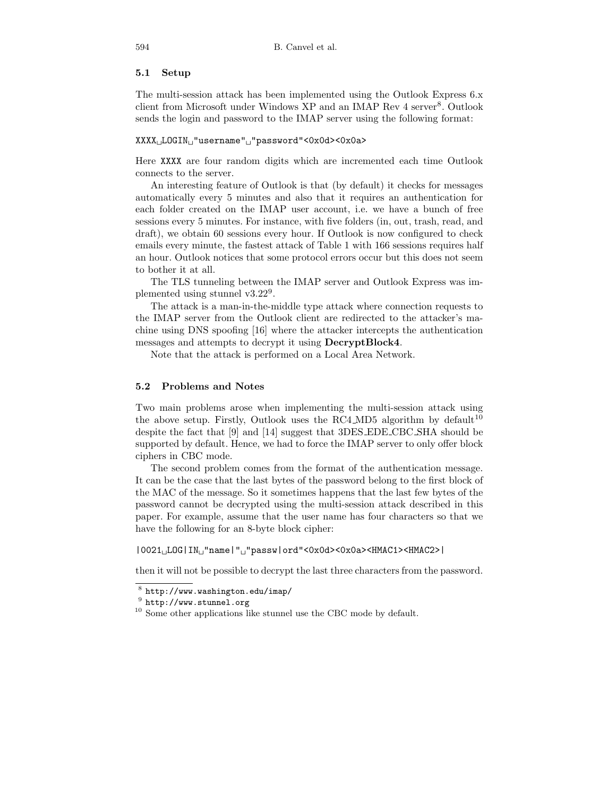### 5.1 Setup

The multi-session attack has been implemented using the Outlook Express 6.x client from Microsoft under Windows XP and an IMAP Rev 4 server<sup>8</sup>. Outlook sends the login and password to the IMAP server using the following format:

#### XXXX<sub>LI</sub>LOGIN<sub>LI</sub>"username"<sub>LI</sub>"password"<0x0d><0x0a>

Here XXXX are four random digits which are incremented each time Outlook connects to the server.

An interesting feature of Outlook is that (by default) it checks for messages automatically every 5 minutes and also that it requires an authentication for each folder created on the IMAP user account, i.e. we have a bunch of free sessions every 5 minutes. For instance, with five folders (in, out, trash, read, and draft), we obtain 60 sessions every hour. If Outlook is now configured to check emails every minute, the fastest attack of Table 1 with 166 sessions requires half an hour. Outlook notices that some protocol errors occur but this does not seem to bother it at all.

The TLS tunneling between the IMAP server and Outlook Express was implemented using stunnel v3.22<sup>9</sup> .

The attack is a man-in-the-middle type attack where connection requests to the IMAP server from the Outlook client are redirected to the attacker's machine using DNS spoofing [16] where the attacker intercepts the authentication messages and attempts to decrypt it using DecryptBlock4.

Note that the attack is performed on a Local Area Network.

### 5.2 Problems and Notes

Two main problems arose when implementing the multi-session attack using the above setup. Firstly, Outlook uses the RC4 MD5 algorithm by default  $10$ despite the fact that [9] and [14] suggest that 3DES EDE CBC SHA should be supported by default. Hence, we had to force the IMAP server to only offer block ciphers in CBC mode.

The second problem comes from the format of the authentication message. It can be the case that the last bytes of the password belong to the first block of the MAC of the message. So it sometimes happens that the last few bytes of the password cannot be decrypted using the multi-session attack described in this paper. For example, assume that the user name has four characters so that we have the following for an 8-byte block cipher:

 $|0021$ <sub>L</sub>LOG $|IN_{\sqcup}$ "name $|"_{\sqcup}$ "passw $|ord"$ <0x0d><0x0a><HMAC1><HMAC2> $|$ 

then it will not be possible to decrypt the last three characters from the password.

 $^8$  http://www.washington.edu/imap/

 $^9$  http://www.stunnel.org

 $10$  Some other applications like stunnel use the CBC mode by default.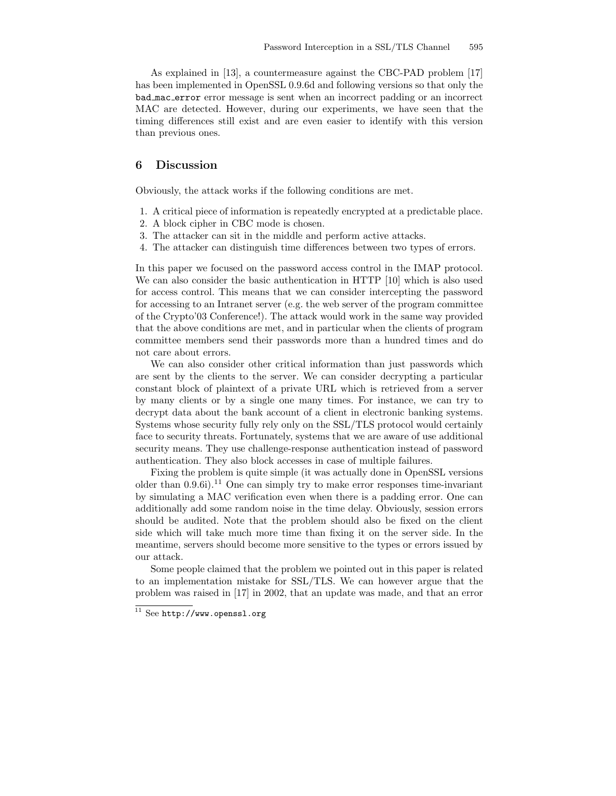As explained in [13], a countermeasure against the CBC-PAD problem [17] has been implemented in OpenSSL 0.9.6d and following versions so that only the bad mac error error message is sent when an incorrect padding or an incorrect MAC are detected. However, during our experiments, we have seen that the timing differences still exist and are even easier to identify with this version than previous ones.

# 6 Discussion

Obviously, the attack works if the following conditions are met.

- 1. A critical piece of information is repeatedly encrypted at a predictable place.
- 2. A block cipher in CBC mode is chosen.
- 3. The attacker can sit in the middle and perform active attacks.
- 4. The attacker can distinguish time differences between two types of errors.

In this paper we focused on the password access control in the IMAP protocol. We can also consider the basic authentication in HTTP [10] which is also used for access control. This means that we can consider intercepting the password for accessing to an Intranet server (e.g. the web server of the program committee of the Crypto'03 Conference!). The attack would work in the same way provided that the above conditions are met, and in particular when the clients of program committee members send their passwords more than a hundred times and do not care about errors.

We can also consider other critical information than just passwords which are sent by the clients to the server. We can consider decrypting a particular constant block of plaintext of a private URL which is retrieved from a server by many clients or by a single one many times. For instance, we can try to decrypt data about the bank account of a client in electronic banking systems. Systems whose security fully rely only on the SSL/TLS protocol would certainly face to security threats. Fortunately, systems that we are aware of use additional security means. They use challenge-response authentication instead of password authentication. They also block accesses in case of multiple failures.

Fixing the problem is quite simple (it was actually done in OpenSSL versions older than  $0.9.6i$ ).<sup>11</sup> One can simply try to make error responses time-invariant by simulating a MAC verification even when there is a padding error. One can additionally add some random noise in the time delay. Obviously, session errors should be audited. Note that the problem should also be fixed on the client side which will take much more time than fixing it on the server side. In the meantime, servers should become more sensitive to the types or errors issued by our attack.

Some people claimed that the problem we pointed out in this paper is related to an implementation mistake for SSL/TLS. We can however argue that the problem was raised in [17] in 2002, that an update was made, and that an error

 $11$  See http://www.openssl.org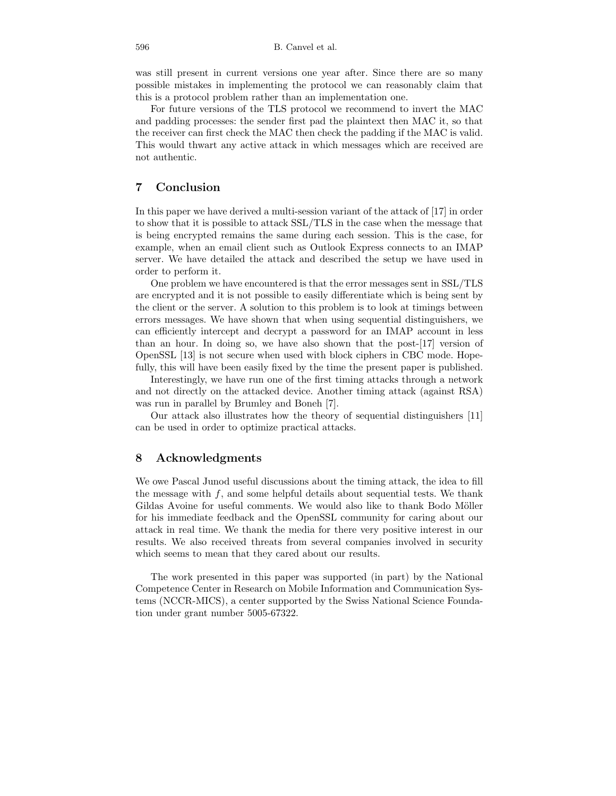was still present in current versions one year after. Since there are so many possible mistakes in implementing the protocol we can reasonably claim that this is a protocol problem rather than an implementation one.

For future versions of the TLS protocol we recommend to invert the MAC and padding processes: the sender first pad the plaintext then MAC it, so that the receiver can first check the MAC then check the padding if the MAC is valid. This would thwart any active attack in which messages which are received are not authentic.

# 7 Conclusion

In this paper we have derived a multi-session variant of the attack of [17] in order to show that it is possible to attack SSL/TLS in the case when the message that is being encrypted remains the same during each session. This is the case, for example, when an email client such as Outlook Express connects to an IMAP server. We have detailed the attack and described the setup we have used in order to perform it.

One problem we have encountered is that the error messages sent in SSL/TLS are encrypted and it is not possible to easily differentiate which is being sent by the client or the server. A solution to this problem is to look at timings between errors messages. We have shown that when using sequential distinguishers, we can efficiently intercept and decrypt a password for an IMAP account in less than an hour. In doing so, we have also shown that the post-[17] version of OpenSSL [13] is not secure when used with block ciphers in CBC mode. Hopefully, this will have been easily fixed by the time the present paper is published.

Interestingly, we have run one of the first timing attacks through a network and not directly on the attacked device. Another timing attack (against RSA) was run in parallel by Brumley and Boneh [7].

Our attack also illustrates how the theory of sequential distinguishers [11] can be used in order to optimize practical attacks.

# 8 Acknowledgments

We owe Pascal Junod useful discussions about the timing attack, the idea to fill the message with  $f$ , and some helpful details about sequential tests. We thank Gildas Avoine for useful comments. We would also like to thank Bodo Möller for his immediate feedback and the OpenSSL community for caring about our attack in real time. We thank the media for there very positive interest in our results. We also received threats from several companies involved in security which seems to mean that they cared about our results.

The work presented in this paper was supported (in part) by the National Competence Center in Research on Mobile Information and Communication Systems (NCCR-MICS), a center supported by the Swiss National Science Foundation under grant number 5005-67322.